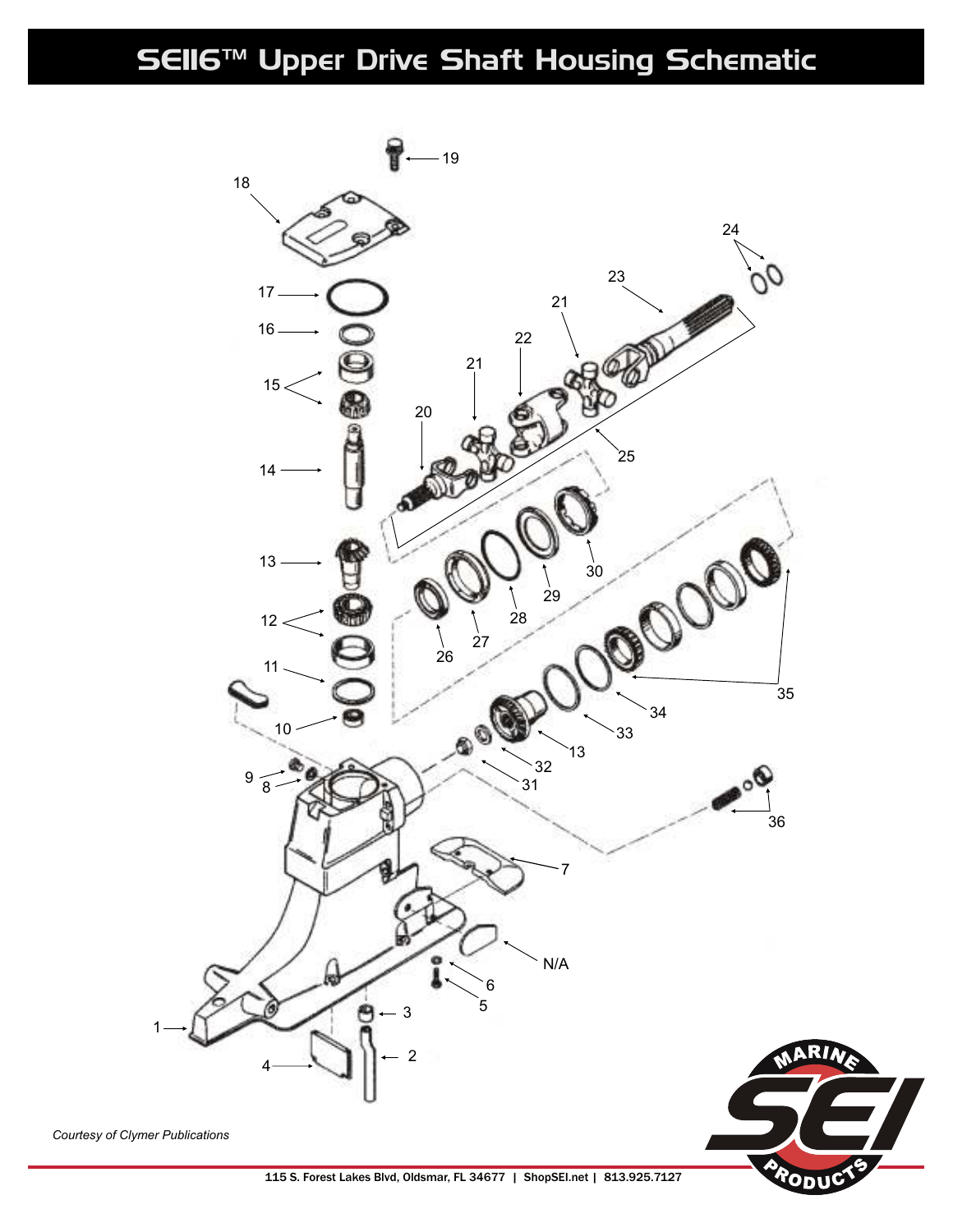## SEII6™ Upper Drive Shaft Housing Schematic



115 S. Forest Lakes Blvd, Oldsmar, FL 34677 | ShopSEI.net | 813.925.7127

םי